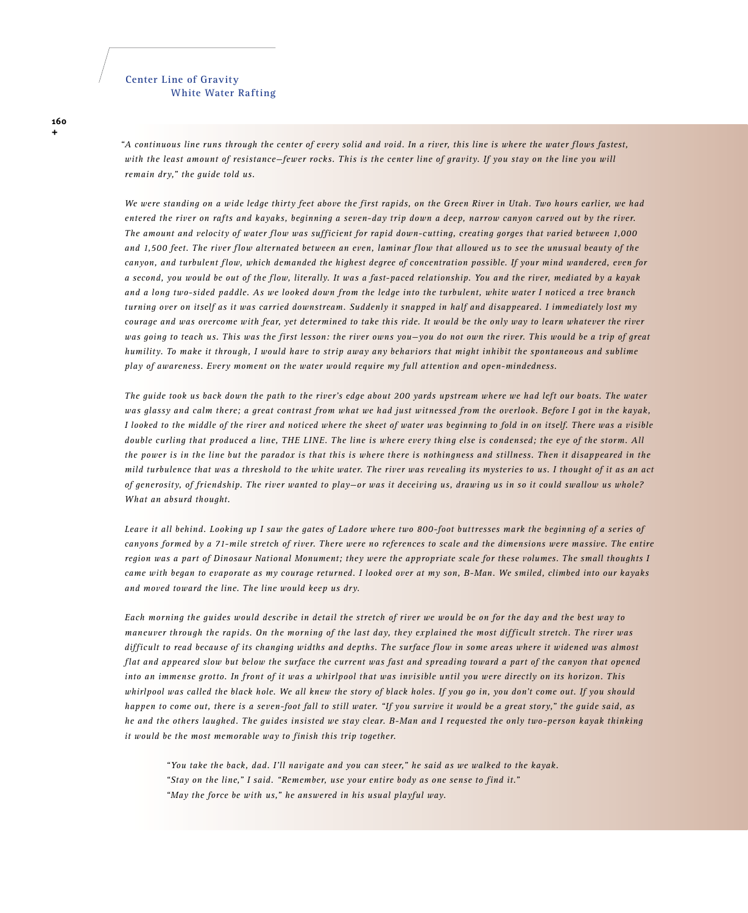## **Center Line of Gravity White Water Rafting**

*A continuous line runs through the center of every solid and void. In a river, this line is where the water flows fastest, "*with the least amount of resistance-fewer rocks. This is the center line of gravity. If you stay on the line you will *remain dry," the guide told us.* 

*We were standing on a wide ledge thirty feet above the first rapids, on the Green River in Utah. Two hours earlier, we had entered the river on rafts and kayaks, beginning a seven-day trip down a deep, narrow canyon carved out by the river. The amount and velocity of water flow was sufficient for rapid down-cutting, creating gorges that varied between 1,000 and 1,500 feet. The river flow alternated between an even, laminar flow that allowed us to see the unusual beauty of the canyon, and turbulent flow, which demanded the highest degree of concentration possible. If your mind wandered, even for a second, you would be out of the flow, literally. It was a fast-paced relationship. You and the river, mediated by a kayak and a long two-sided paddle. As we looked down from the ledge into the turbulent, white water I noticed a tree branch turning over on itself as it was carried downstream. Suddenly it snapped in half and disappeared. I immediately lost my courage and was overcome with fear, yet determined to take this ride. It would be the only way to learn whatever the river was going to teach us. This was the first lesson: the river owns you—you do not own the river. This would be a trip of great humility. To make it through, I would have to strip away any behaviors that might inhibit the spontaneous and sublime play of awareness. Every moment on the water would require my full attention and open-mindedness.*

*The guide took us back down the path to the river's edge about 200 yards upstream where we had left our boats. The water was glassy and calm there; a great contrast from what we had just witnessed from the overlook. Before I got in the kayak, I looked to the middle of the river and noticed where the sheet of water was beginning to fold in on itself. There was a visible double curling that produced a line, THE LINE. The line is where every thing else is condensed; the eye of the storm. All the power is in the line but the paradox is that this is where there is nothingness and stillness. Then it disappeared in the mild turbulence that was a threshold to the white water. The river was revealing its mysteries to us. I thought of it as an act of generosity, of friendship. The river wanted to play—or was it deceiving us, drawing us in so it could swallow us whole? What an absurd thought.*

*Leave it all behind. Looking up I saw the gates of Ladore where two 800-foot buttresses mark the beginning of a series of canyons formed by a 71-mile stretch of river. There were no references to scale and the dimensions were massive. The entire region was a part of Dinosaur National Monument; they were the appropriate scale for these volumes. The small thoughts I came with began to evaporate as my courage returned. I looked over at my son, B-Man. We smiled, climbed into our kayaks and moved toward the line. The line would keep us dry.*

*Each morning the guides would describe in detail the stretch of river we would be on for the day and the best way to maneuver through the rapids. On the morning of the last day, they explained the most difficult stretch. The river was difficult to read because of its changing widths and depths. The surface flow in some areas where it widened was almost flat and appeared slow but below the surface the current was fast and spreading toward a part of the canyon that opened into an immense grotto. In front of it was a whirlpool that was invisible until you were directly on its horizon. This whirlpool was called the black hole. We all knew the story of black holes. If you go in, you don't come out. If you should happen to come out, there is a seven-foot fall to still water. "If you survive it would be a great story," the guide said, as he and the others laughed. The guides insisted we stay clear. B-Man and I requested the only two-person kayak thinking it would be the most memorable way to finish this trip together.*

 *"You take the back, dad. I'll navigate and you can steer," he said as we walked to the kayak. "Stay on the line," I said. "Remember, use your entire body as one sense to find it." "May the force be with us," he answered in his usual playful way.*